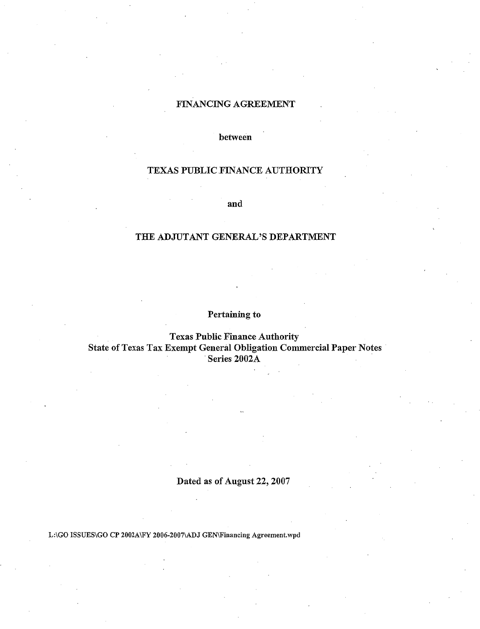## FINANCING AGREEMENT

between

# TEXAS PUBLIC FINANCE AUTHORITY

and

# THE ADJUTANT GENERAL'S DEPARTMENT

Pertaining to

Texas Public Finance Authority State of Texas Tax Exempt General Obligation Commercial Paper Notes Series 2002A

# Dated as of August 22, 2007

L:\GO ISSUES\GO CP 2002A\FY 2006-2007\ADJ GEN\Financing Agreement.wpd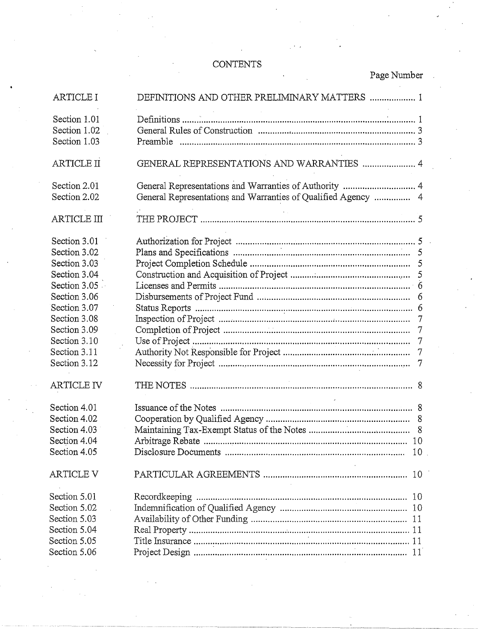# CONTENTS

|  | Page Number |
|--|-------------|
|--|-------------|

| <b>ARTICLE I</b>                             | DEFINITIONS AND OTHER PRELIMINARY MATTERS  1                                                                            |  |
|----------------------------------------------|-------------------------------------------------------------------------------------------------------------------------|--|
| Section 1.01<br>Section 1.02<br>Section 1.03 |                                                                                                                         |  |
| <b>ARTICLE II</b>                            | GENERAL REPRESENTATIONS AND WARRANTIES  4                                                                               |  |
| Section 2.01<br>Section 2.02                 | General Representations and Warranties of Authority  4<br>General Representations and Warranties of Qualified Agency  4 |  |
| ARTICLE III                                  |                                                                                                                         |  |
| Section 3.01<br>Section 3.02                 |                                                                                                                         |  |
| Section 3.03<br>Section 3.04                 | 5                                                                                                                       |  |
| Section 3.05<br>Section 3.06                 |                                                                                                                         |  |
| Section 3.07<br>Section 3.08                 |                                                                                                                         |  |
| Section 3.09<br>Section 3.10                 | $\overline{7}$                                                                                                          |  |
| Section 3.11<br>Section 3.12                 |                                                                                                                         |  |
| <b>ARTICLE IV</b>                            |                                                                                                                         |  |
| Section 4.01                                 |                                                                                                                         |  |
| Section 4.02                                 |                                                                                                                         |  |
| Section 4.03<br>Section 4.04                 |                                                                                                                         |  |
| Section 4.05                                 |                                                                                                                         |  |
| <b>ARTICLE V</b>                             |                                                                                                                         |  |
| Section 5.01                                 | Recordkeeping                                                                                                           |  |
| Section 5.02                                 |                                                                                                                         |  |
| Section 5.03                                 |                                                                                                                         |  |
| Section 5.04                                 |                                                                                                                         |  |
| Section 5.05                                 |                                                                                                                         |  |
| Section 5.06                                 |                                                                                                                         |  |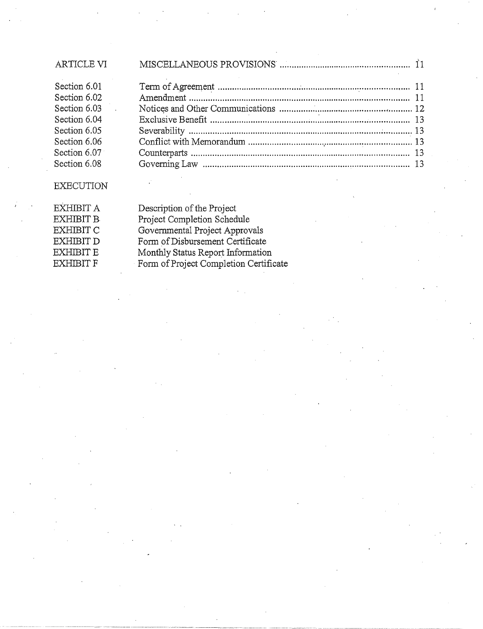| <b>ARTICLE VI</b> |  |
|-------------------|--|
| Section 6.01      |  |
| Section 6.02      |  |
| Section 6.03      |  |
| Section 6.04      |  |
| Section 6.05      |  |
| Section 6.06      |  |
| Section 6.07      |  |
| Section 6.08      |  |
|                   |  |

# EXECUTION

| EXHIBIT A | Description of the Project             |
|-----------|----------------------------------------|
| EXHIBIT B | Project Completion Schedule            |
| EXHIBIT C | Governmental Project Approvals         |
| EXHIBIT D | Form of Disbursement Certificate       |
| EXHIBIT E | Monthly Status Report Information      |
| EXHIBIT F | Form of Project Completion Certificate |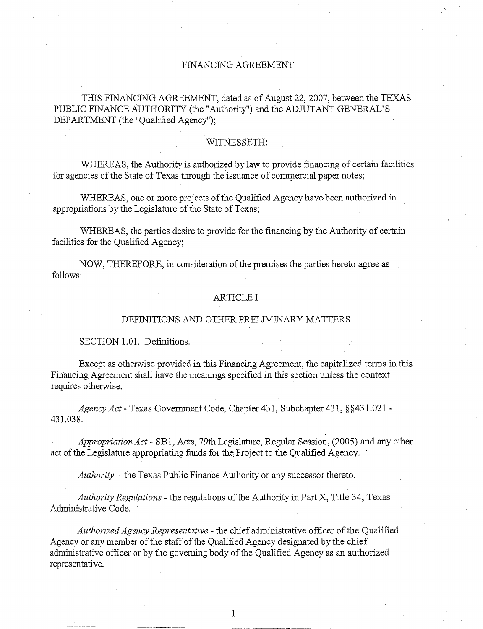## FINANCING AGREEMENT

THIS FINANCING AGREEMENT, dated as of August 22,2007, between the TEXAS PUBLIC FINANCE AUTHORITY (the "Authority") and the ADJUTANT GENERAL'S DEPARTMENT (the "Qualified Agency");

## WITNESSETH:

WHEREAS, the Authority is authorized by law to provide financing of certain facilities for agencies of the State of Texas through the issuance of commercial paper notes;

WHEREAS, one or more projects of the Qualified Agency have been authorized in appropriations by the Legislature of the State of Texas;

WHEREAS, the parties desire to provide for the financing by the Authority of certain facilities for the Qualified Agency;

NOW, THEREFORE, in consideration of the premises the parties hereto agree as follows:

## ARTICLE I

#### DEFINITIONS AND OTHER PRELIMINARY MATTERS

#### SECTION 1.01. Definitions.

Except as otherwise provided in this Financing Agreement, the capitalized terms in this Financing Agreement shall have the meanings. specified in this section unless the context requires otherwise.

*Agency Act-* Texas Government Code, Chapter 431, Subchapter 431, §§431.021 - 431.038.

*Appropriation Act-* SB1, Acts, 79th Legislature, Regular Session, (2005) and any other act of the Legislature appropriating funds for the, Project to the Qualified Agency.

*Authority* -the Texas Public Finance Authority or any successor thereto.

*Authority Regu(ations* -the regulations ofthe Authority in Part X, Title 34, Texas Administrative Code.

*Authorized Agency Representative* - the chief administrative officer of the Qualified Agency or any member of the staff of the Qualified Agency designated by the chief administrative officer or by the governing body of the Qualified Agency as an authorized representative.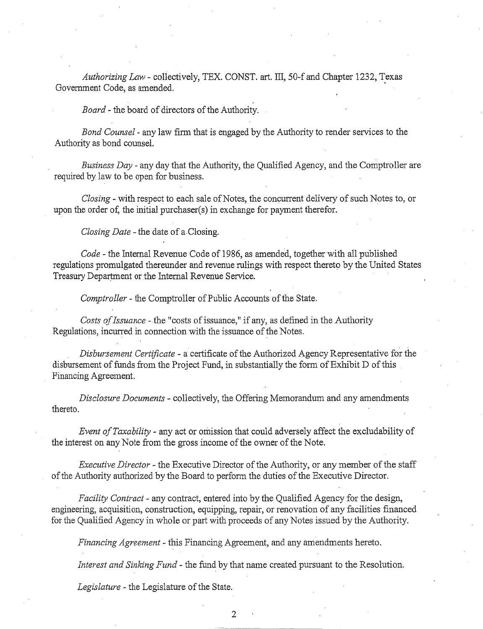*Authorizing Law* - collectively, TEX. CONST. art. III, 50-f and Chapter 1232, Texas Government Code, as amended.

*Board-* the board of directors of the Authority.

*Bond Counsel* - any law firm that is engaged by the Authority to render services to the Authority as bond counsel.

*Business Day* - any day that the Authority, the Qualified Agency, and the Comptroller are required by law to be open for business.

*Closing-* with respect to each sale of Notes, the concurrent delivery of such Notes to, or upon the order of, the initial purchaser(s) in exchange for payment therefor.

*Closing Date* - the date of a Closing.

*Code-* the Internal Revenue Code of 1986, as amended, together with all published regulations promulgated thereunder and revenue rulings with respect thereto by the United States Treasury Department or the Internal Revenue Service.

*Comptroller* - the Comptroller of Public Accounts of the State.

*Costs of Issuance* - the "costs of issuance," if any, as defined in the Authority Regulations, incurred in connection with the issuance of the Notes.

*Disbursement Certificate* - a certificate of the Authorized Agency Representative for the disbursement of funds from the Project Fund, in substantially the form of Exhibit D of this Financing Agreement.

*Disclosure Documents* - collectively, the Offering Memorandum and any amendments thereto.

*Event of Taxability* - any act or omission that could adversely affect the excludability of the interest on any Note from the gross income of the owner of the Note.

*Executive Director-* the Executive Director of the Authority, or any member of the staff of the Authority authorized by the Board to perform the duties of the Executive Director.

*Facility Contract-* any contract, entered into by the Qualified Agency for the design, engineering, acquisition, construction, equipping, repair, or renovation of any facilities financed for the Qualified Agency in whole or part with proceeds of any Notes issued by the Authority.

*Financing Agreement-* this Financing Agreement, and any amendments hereto.

*Interest and Sinking Fund* - the fund by that name created pursuant to the Resolution.

*Legislature-* the Legislature of the State.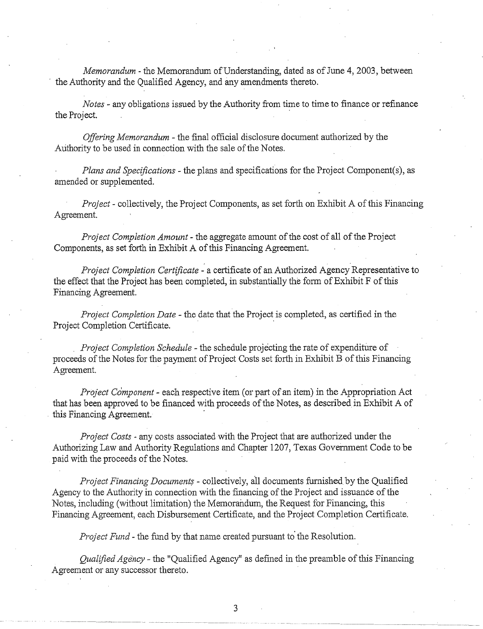*Memorandum-* the Memorandum of Understanding, dated as of June 4, 2003, between the Authority and the Qualified Agency, and any amendments thereto.

*Notes* - any obligations issued by the Authority from time to time to finance or refinance the Project.

*Offering Memorandum* - the final official disclosure document authorized by the Authority to be used in connection with the sale of the Notes.

*Plans and Specifications-* the plans and specifications for the Project Component(s), as amended or supplemented.

*Project-* collectively, the Project Components, as set forth on Exhibit A ofthis Financing Agreement.

*Project Completion Amount-* the aggregate amount of the cost of all of the Project Components, as set forth in Exhibit A of this Financing Agreement.

*Project Completion Certificate-* a certificate of an Authorized Agency Representative to the effect that the Project has been completed, in substantially the form of Exhibit F of this Financing Agreement.

*Project Completion Date-* the date that the Project is completed, as certified in the Project Completion Certificate.

*Project Completion Schedule* - the schedule projecting the rate of expenditure of proceeds of the Notes for the payment of Project Costs set forth in Exhibit B of this Financing Agreement.

*Project Component-* each respective item (or part of an item) in the Appropriation Act that has been approved to be financed with proceeds of the Notes, as described in Exhibit A of this Financing Agreement.

*Project Costs·* any costs associated with the Project that are authorized under the Authorizing Law and Authority Regulations and Chapter 1207, Texas Government Code to be paid with the proceeds of the Notes.

*Project Financing Document\$* - collectively, all documents fumished by the Qualified Agency to the Authority in connection with the financing of the Project and issuance of the Notes, including (without limitation) the Memorandum, the Request for Financing, this Financing Agreement, each Disbursement Certificate, and the Project Completion Certificate.

*Project Fund-* the fund by that name created pursuant to' the Resolution.

*Qualified Age'ncy-* the "Qualified Agency" as defined in the preamble of this Financing Agreement or any successor thereto.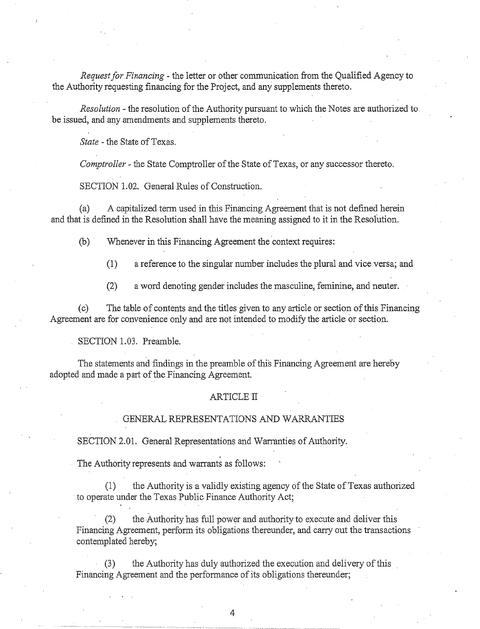*Request for Financing* - the letter or other conununication from the Qualified Agency to the Authority requesting financing for the Project, and any supplements thereto.

*Resolution* - the resolution of the Authority pursuant to which the Notes are authorized to be issued, and any amendments and supplements thereto.

*State-* the State of Texas.

*Comptroller* - the State Comptroller of the State of Texas, or any successor thereto.

SECTION 1.02. General Rules of Construction.

(a) A capitalized tenn used in this Financing Agreement that is not defined herein and that is defined in the Resolution shall have the meaning assigned to it in the Resolution.

(b) "Whenever in this Financing Agreement the context requires:

 $(1)$  a reference to the singular number includes the plural and vice versa; and

(2) a word denoting gender includes the masculine, feminine, and neuter.

(c) The table of contents and the titles given to any article or section of this Financing Agreement are for convenience only and are not intended to modify the article or section.

SECTION 1.03. Preamble.

The statements and findings in the preamble of this Financing Agreement are hereby adopted and made a part of the Financing Agreement.

#### ARTICLE II

## GENERAL REPRESENTATIONS AND WARRANTIES

SECTION 2.01. General Representations and Warranties of Authority.

The Authority represents and warrants as follows:

the Authority is a validly existing agency of the State of Texas authorized to operate under the Texas Public Finance Authority Act;

the Authority has full power and authority to execute and deliver this Financing Agreement, perform its obligations thereunder, and carry out the transactions contemplated hereby;

(3) the Authority has duly authorized the execution and delivery of this Financing Agreement and the performance of its obligations thereunder;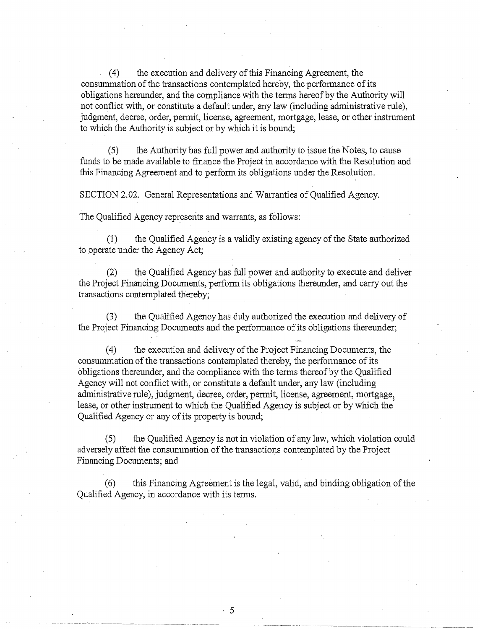(4) the execution and delivery of this Financing Agreement, the consummation of the transactions contemplated hereby, the performance of its obligations hereunder, and the compliance with the terms hereof by the Authority will not conflict with, or constitute a default under, any law (including administrative rule), judgment, decree, order, permit, license, agreement, mortgage, lease, or other instrument to which the Authority is subject or by which it is bound;

 $(5)$  the Authority has full power and authority to issue the Notes, to cause funds to be made available to finance the Project in accordance with the Resolution and this Financing Agreement and to perform its obligations under the Resolution.

SECTION 2.02. General Representations and Warranties of Qualified Agency.

The Qualified Agency represents and warrants, as follows:

(1) the Qualified Agency is a validly existing agency of the State authorized to operate under the Agency Act;

(2) the Qualified Agency has full power and authority to execute and deliver the Project Financing Documents, perform its obligations thereunder, and carry out the transactions contemplated thereby;

(3) the Qualified Agency has duly authorized the execution and delivery of the Project Financing Documents and the performance of its obligations thereunder;

(4) the execution and delivery of the Project Financing Documents, the consummation of the transactions contemplated thereby, the perfonnance of its obligations thereunder, and the compliance with the tenns thereof by the Qualified Agency will not conflict with, or constitute a default under, any law (including administrative rule), judgment, decree, order, permit, license, agreement, mortgage, lease, or other instrument to which the Qualified Agency is subject or bywhich the' Qualified Agency or any of its property is bound;

(5) the Qualified Agency is not in violation of any law, which violation could adversely affect the consummation of the transactions contemplated by the Project Financing Documents; and

(6) this Financing Agreement is the legal, valid, and binding obligation of the Qualified Agency, in accordance with its tenns.

 $\cdot$  5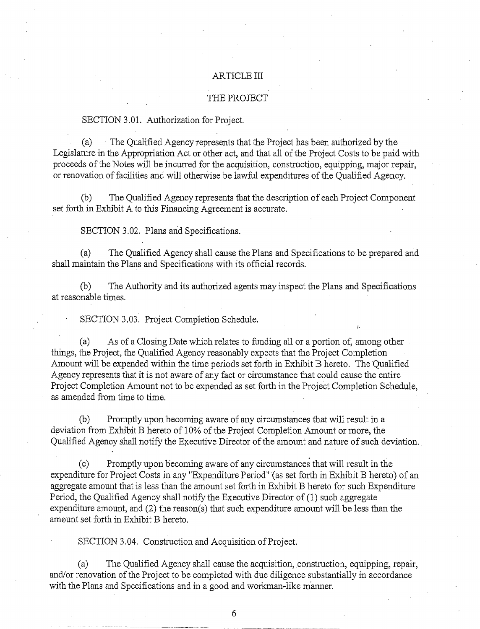#### ARTICLE III

## THE PROJECT

#### SECTION 3.01. Authorization for Project.

(a) The Qualified Agency represents that the Project has been authorized by the Legislature in the Appropriation Act or other act, and that all of the Project Costs to be paid with proceeds of the Notes will be incurred for the acquisition, construction, equipping, major repair, or renovation of facilities and will otherwise be lawful expenditures of the Qualified Agency.

(b) The Qualified Agency represents that the description of each Project Component set forth in Exhibit A to this Financing Agreement is accurate.

SECTION 3.02. Plans and Specifications.

(a) The Qualified Agency shall cause the Plans and Specifications to be prepared and shall maintain the Plans and Specifications with its official records.

(b) The Authority and its authorized agents may inspect the Plans and Specifications at reasonable times.

SECTION 3.03. Project Completion Schedule.

(a) As of a Closing Date which relates to funding all or a portion of, among other things, the Project, the Qualified Agency reasonably expects that the Project Completion Amount will be expended within the time periods set forth in Exhibit B hereto. The Qualified Agency represents that it is not aware of any fact or circumstance that could cause the entire Project Completion Amount not to be expended as set forth in the Project Completion Schedule, as amended from time to time.

(b) Promptly upon becoming aware of any circumstances that will result in a deviation from Exhibit B hereto of 1 0% of the Project Completion Amount or more, the Qualified Agency shall notify the Executive Director of the amount and nature of such deviation.

(c) Promptly upon becoming aware of any circumstances that will result in the expenditure for Project Costs in any "Expenditure Period" (as set forth in Exhibit B hereto) of an aggregate amount that is less than the amount set forth in Exhibit B hereto for such Expenditure Period, the Qualified Agency shall notify the Executive Director of (1) such aggregate expenditure amount, and (2) the reason(s) that such expenditure amount will be less than the am0unt set forth in Exhibit B hereto.

SECTION 3.04. Construction and Acquisition of Project.

(a) The Qualified Agency shall cause the acquisition, construction, equipping, repair, and/or renovation of the Project to be completed with due diligence substantially in accordance with the Plans and Specifications and in a good and workman-like manner.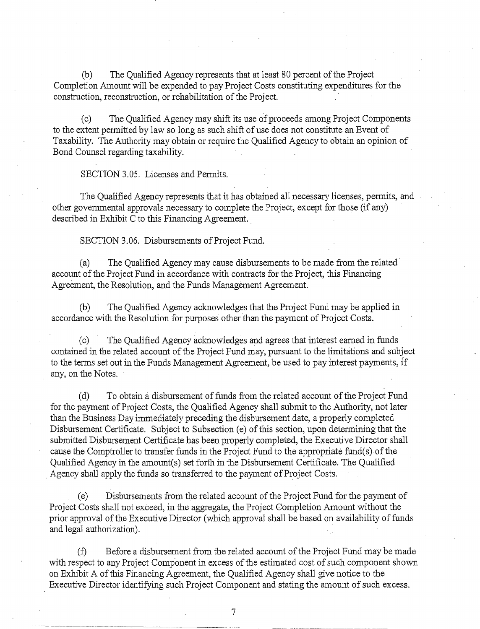(b) The Qualified Agency represents that at least 80 percent of the Project Completion Amount will be expended to pay Project Costs constituting expenditures for the construction, reconstruction, or rehabilitation of the Project. ·

(c) The Qualified Agency may shift its use of proceeds among Project Components to the extent permitted by law so long as such shift of use does not constitute an Event of Taxability. The Authority may obtain or require the Qualified Agency to obtain an opinion of Bond Counsel regarding taxability.

SECTION 3.05. Licenses and Permits.

The Qualified Agency represents that it has obtained all necessary licenses, pennits, and other govemmental approvals necessary to complete the Project, except for those (if any) described in Exhibit C to this Financing Agreement.

SECTION 3.06. Disbursements of Project Fund.

(a) The Qualified Agency may cause disbursements to be made from the related· account of the Project Fund in accordance with contracts for the Project, this Financing Agreement, the Resolution, and the Funds Management Agreement.

(b) The Qualified Agency acknowledges that the Project Fund may be applied in accordance with the Resolution for purposes other than the payment of Project Costs.

(c) The Qualified Agency acknowledges and agrees that interest eamed in funds contained in the related account of the Project Fund may, pursuant to the limitations and subject to the terms set out in the Funds Management Agreement, be used to pay interest payments, if any, on the Notes.

(d) To obtain a disbursement of funds from the related account of the Project Fund for the payment of Project Costs, the Qualified Agency shall submit to the Authority, not later than the Business Day immediately preceding the disbursement date, a properly completed Disbursement Certificate. Subject to Subsection (e) of this section, upon detennining that the submitted Disbursement Certificate has been properly completed, the Executive Director shall cause the Comptroller to transfer funds in the Project Fund to the appropriate fund( s) of the Qualified Agency in the amount(s) set forth in the Disbursement Certificate. The Qualified . Agency shall apply the funds so transfened to the payment of Project Costs.

(e) Disbursements from the related account of the Project Fund for the payment of Project Costs shall not exceed, in the aggregate, the Project Completion Amount without the prior approval of the Executive Director (which approval shall be based on availability of funds and legal authorization).

(f) Before a disbursement from the related account of the Project Fund may be made with respect to any Project Component in excess of the estimated cost of such component shown on Exhibit A of this Financing Agreement, the Qualified Agency shall give notice to the Executive Director identifying such Project Component and stating the amount of such excess.

7 - ----~~~----------~--~-- --- ---------- -- - --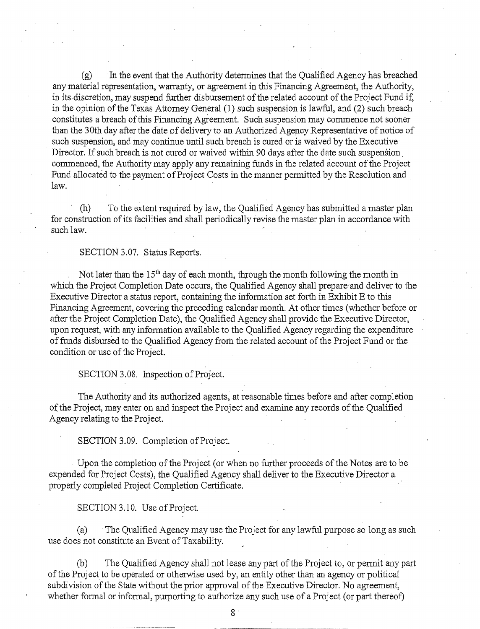(g) In the event that the Authority determines that the Qualified Agency has breached any material representation, warranty, or agreement in this Financing Agreement, the Authority, in its discretion, may suspend further disbursement of the related account of the Project Fund if, in the opinion of the Texas Attorney General (1) such suspension is lawful, and (2) such breach constitutes a breach of this Financing Agreement. Such suspension may commence not sooner than the 3Oth day after the date of delivery to an Authorized Agency Representative of notice of such suspension, and may continue until such breach is cured or is waived by the Executive Director. If such breach is not cured or waived within 90 days after the date such suspension commenced, the Authority may apply any remaining funds in the related account of the Project Fund allocated to the payment of Project Costs in the manner permitted by the Resolution and law.

(h) To the extent required by law, the Qualified Agency has submitted a master plan for construction of its facilities and shall periodically revise the master plan in accordance with such law.

#### SECTION 3.07. Status Reports.

Not later than the  $15<sup>th</sup>$  day of each month, through the month following the month in which the Project Completion Date occurs, the Qualified Agency shall prepare·and deliver to the Executive Director a status report, containing the information set forth in Exhibit E to this Financing Agreement, covering the preceding calendar month. At other times (whether before or after the Project Completion Date), the Qualified Agency shall provide the Executive Director, upon request, with any information available to the Qualified Agency regarding the expenditure of funds disbursed to the Qualified Agency from the related account ofthe Project Fund or the condition or use of the Project.

SECTION 3.08. Inspection of Project.

The Authority and its authorized agents, at reasonable times before and after completion of the Project, may enter on and inspect the Project and examine any records of the Qualified Agency relating to the Project.

SECTION 3.09. Completion of Project.

Upon the completion of the Project (or when no further proceeds of the Notes are to be expended for Project Costs), the Qualified Agency shall deliver to the Executive Director a properly completed Project Completion Certificate.

#### SECTION 3.10. Use of Project.

(a) The Qualified Agency may use the Project for any lawful purpose so long as such use does not constitute an Event of Taxability.

(b) The Qualified Agency shall not lease any part of the Project to, or permit any part of the Project to be operated or otherwise used by, an entity other than an agency or political subdivision of the State without the prior approval of the Executive Director. No agreement, whether formal or informal, purporting to authorize any such use of a Project (or part thereof)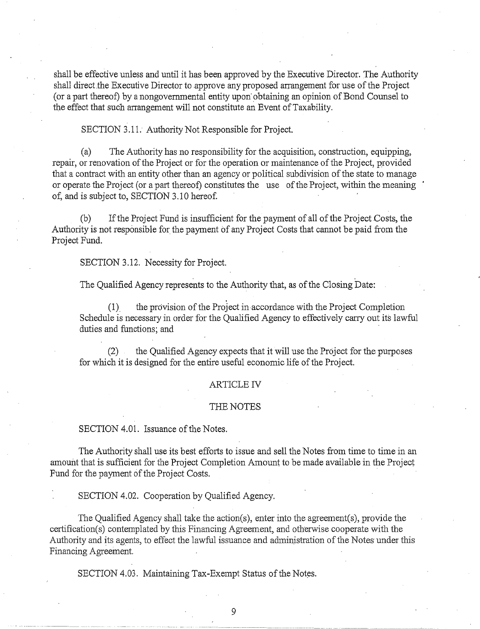shall be effective unless and until it has been approved by the Executive Director. The Authority shall direct the Executive Director to approve any proposed arrangement for use of the Project (or a part thereof) by a nongovernmental entity upon obtaining an opinion of Bond Counsel to the effect that such arrangement will not constitute an Event of Taxability.

SECTION 3.11. Authority Not Responsible for Project.

(a) The Authority has no responsibility for the acquisition, construction, equipping, repair, or renovation of the Project or for the operation or maintenance of the Project, provided that a contract with an entity other than an agency or political subdivision of the state to manage or operate the Project (or a part thereof) constitutes the use of the Project, within the meaning of, and is subject to, SECTION 3.10 hereof.

(b) If the Project Fund is insufficient for the payment of all of the Project Costs, the Authority is not responsible for the payment of any Project Costs that cannot be paid from the Project Fund.

SECTION 3.12. Necessity for Project.

. . The Qualified Agency represents to the Authority that, as of the Closing Date:

(1). the provision of the Project in accordance with the Project Completion Schedule is necessary in order for the Qualified Agency to effectively carry out its lawful duties and functions; and

(2) the Qualified Agency expects that it will use the Project for the purposes for which it is designed for the entire useful economic life of the Project.

#### **ARTICLE IV**

#### THE NOTES

SECTION 4.01. Issuance of the Notes.

The Authority shall use its best efforts to issue and sell the Notes from time to time in an amount that is sufficient for the Project Completion Amount to be made available in the Project Fund for the payment of the Project Costs.

SECTION 4.02. Cooperation by Qualified Agency.

The Qualified Agency shall take the action(s), enter into the agreement(s), provide the certification(s) contemplated by this Financing Agreement, and otherwise cooperate with the Authority and its agents, to effect the lawful issuance and administration of the Notes under this Financing Agreement.

SECTION 4.03. Maintaining Tax-Exempt Status of the Notes.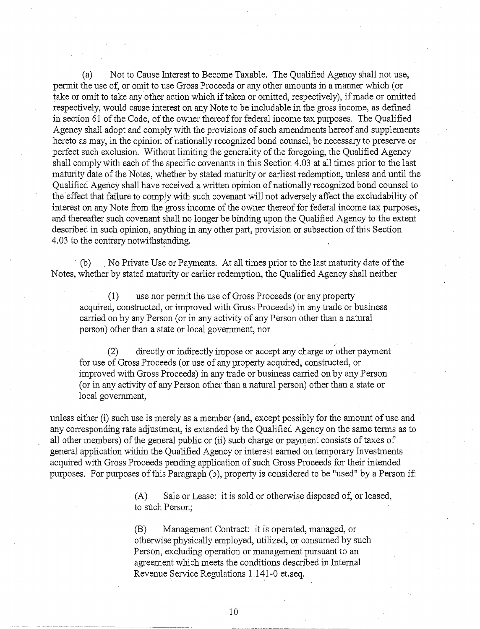(a) Not to Cause Interest to Become Taxable. The Qualified Agency shall not use, permit the use of, or omit to use Gross Proceeds or any other amounts in a manner which (or take or omit to take any other action which if taken or omitted, respectively), if made or omitted respectively, would cause interest on any Note to be includable in the gross income, as defined in section 61 of the Code, of the owner thereof for federal income tax purposes. The Qualified Agency shall adopt and comply with the provisions of such amendments hereof and supplements hereto as may, in the opinion of nationally recognized bond counsel, be necessary to preserve or perfect such exclusion. Without limiting the generality of the foregoing, the Qualified Agency shall comply with each of the specific covenants in this Section 4.03 at all times prior to the last maturity date of the Notes, whether by stated maturity or earliest redemption, unless and until the Qualified Agency shall have received a written opinion of nationally recognized bond counsel to the effect that failure to comply with such covenant will not adversely affect the excludability of interest on any Note from the gross income of the owner thereof for federal income tax purposes, and thereafter such covenant shall no longer be binding upon the Qualified Agency to the extent described in such opinion, anything in any other part, provision or subsection of this Section 4.03 to the contrary notwithstanding.

· (b) . No Private Use or Payments. At all times prior to the last maturity date of the Notes, whether by stated maturity or earlier redemption, the Qualified Agency shall neither

(1) use nor permit the use of Gross Proceeds (or any property acquired, constructed, or improved with Gross Proceeds) in any trade or business carried on by any Person (or in any activity of any Person other than a natural person) other than a state or local government, nor

(2) directly or indirectly impose or accept any charge or other payment for use of Gross Proceeds (or use of any property acquired, constructed, or improved with Gross Proceeds) in any trade or business carried on by any Person (or in any activity of any Person other than a natural person) other than a state or local government,

unless either (i) such use is merely as a member (and, except possibly for the amount of use and any corresponding rate adjustment, is extended by the Qualified Agency on the same tenns as to all other members) of the general public or (ii) such charge or payment consists of taxes of general application within the Qualified Agency or interest eamed on temporary Investments acquired with Gross Proceeds pending application of such Gross Proceeds for their intended purposes. For purposes of this Paragraph (b), property is considered to be "used" by a Person if:

> (A) Sale or Lease: it is sold or otherwise disposed of, or leased, to such Person;

(B) Management Contract: it is operated, managed, or otherwise physically employed, utilized, or consumed by such Person, excluding operation or management pursuant to an agreement which meets the conditions described in Internal Revenue Service Regulations 1.141-0 et.seq.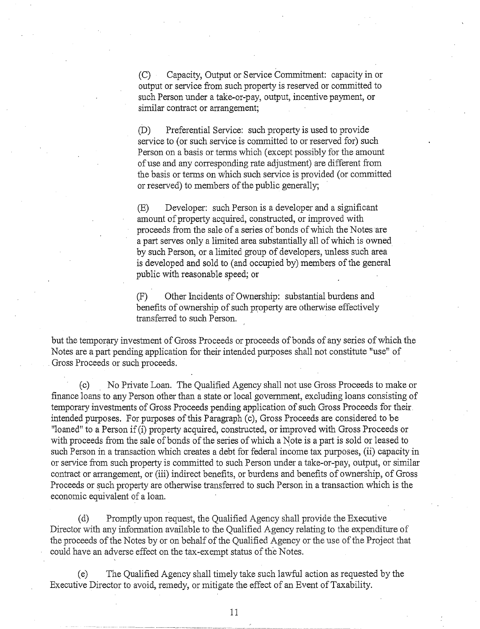(C) Capacity, Output or Service Commitment: capacity in or output or service from such property is reserved or committed to such Person under a take-or-pay, output, incentive payment, or similar contract or arrangement;

(D) Preferential Service: such property is used to provide service to (or such service is committed to or reserved for) such Person on a basis or tenns which (except possibly for the amount of use and any corresponding rate adjustment) are different from the basis or tenns on which such service is provided (or committed or reserved) to members of the public generally;

(E) Developer: such Person is a developer and a significant amount of property acquired, constructed, or improved with proceeds from the sale of a series of bonds of which the Notes are a part serves only a limited area substantially all of which is owned by such Person, or a limited group of developers, unless such area is developed and sold to (and occupied by) members of the general public with reasonable speed; or

(F) Other Incidents of Ownership: substantial burdens and benefits of ownership of such property are otherwise effectively transferred to such Person.

but the temporary investment of Gross Proceeds or proceeds of bonds of any series of which the Notes are a part pending application for their intended purposes shall not constitute "use" of Gross Proceeds or such proceeds.

(c) No Private Loan. The Qualified Agency shall not use Gross Proceeds to make or finance loans to any Person other than a state or local government, excluding loans consisting of temporary investments of Gross Proceeds pending application of such Gross Proceeds for their. intended purposes. For purposes of this Paragraph (c), Gross Proceeds are considered to be "loaned" to a Person if (i) property acquired, constructed, or improved with Gross Proceeds or with proceeds from the sale of bonds of the series of which a Note is a part is sold or leased to such Person in a transaction which creates a debt for federal income tax purposes, (ii) capacity in or service from such property is committed to such Person under a take-or-pay, output, or similar contract or arrangement, or (iii) indirect benefits, or burdens and benefits of ownership, of Gross Proceeds or such property are otherwise transferred to such Person in a transaction which is the economic equivalent of a loan.

(d) Promptly upon request, the Qualified Agency shall provide the Executive Director with any information available to the Qualified Agency relating to the expenditure of the proceeds of the Notes by or on behalf of the Qualified Agency or the use of the Project that could have an adverse effect on the tax-exempt status of the Notes.

(e) The Qualified Agency shall timely take such lawful action as requested by the Executive Director to avoid, remedy, or mitigate the effect of an Event of Taxability.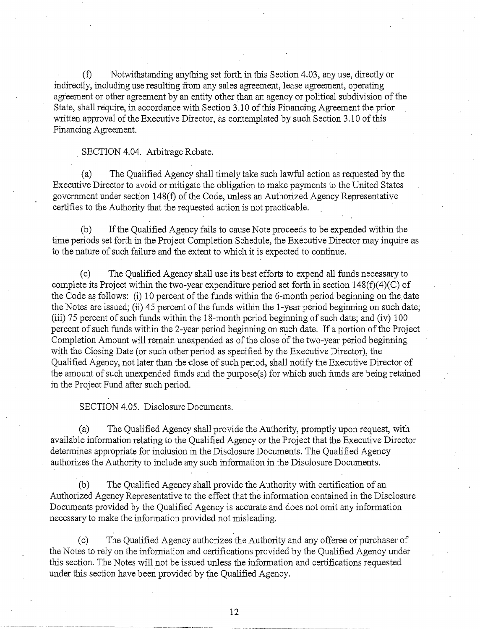(f) Notwithstanding anything set forth in this Section 4.03, any use, directly or indirectly, including use resulting from any sales agreement, lease agreement, operating agreement or other agreement by an entity other than an agency or political subdivision of the State, shall require, in accordance with Section 3.10 of this Financing Agreement the priorwritten approval of the Executive Director, as contemplated by such Section 3.10 of this Financing Agreement.

#### SECTION 4.04. Arbitrage Rebate.

(a) The Qualified Agency shall timely take such lawful action as requested by the Executive Director to avoid or mitigate the obligation to make payments to the United States government under section 148(f) of the Code, unless an Authorized Agency Representative certifies to the Authority that the requested action is not practicable.

(b) If the Qualified Agency fails to cause Note proceeds to be expended within the time periods set forth in the Project Completion Schedule, the Executive Director may inquire as to the nature of such failure and the extent to which it is expected to continue.

(c) The Qualified Agency shall use its best efforts to expend all funds necessary to complete its Project within the two-year expenditure period set forth in section 148(f)(4)(C) of the Code as follows: (i) 10 percent of the funds within the 6-month period beginning on the date the Notes are issued; (ii)  $45$  percent of the funds within the 1-year period beginning on such date; (iii) 75 percent of such funds within the 18-month period beginning of such date; and (iv) 100 percent of such funds within the 2-year period beginning on such date. If a portion of the Project Completion Amount will remain unexpended as of the close of the two-year period beginning with the Closing Date (or such other period as specified by the Executive Director), the Qualified Agency, not later than the dose of such period, shall notify the Executive Director of the amount of such unexpended funds and the purpose(s) for which such funds are being retained in the Project Fund after such period.

SECTION 4.05. Disclosure Documents.

(a) The Qualified Agency shall provide the Authority, promptly upon request, with available information relating to the Qualified Agency or the Project that the Executive Director determines appropriate for inclusion in the Disclosure Documents. The Qualified Agency authorizes the Authority to include any such information in the Disclosure Documents.

(b) The Qualified Agency shall provide the Authority with certification of an Authorized Agency Representative to the effect that the information contained in the Disclosure Documents provided by the Qualified Agency is accurate and does not omit any information necessary to make the infonnation provided not misleading.

(c) The Qualified Agency authorizes the Authority and any offeree or· purchaser of the Notes to rely on the information and certifications provided by the Qualified Agency under this section. The Notes will not be issued unless the information and certifications requested under this section have been provided by the Qualified Agency.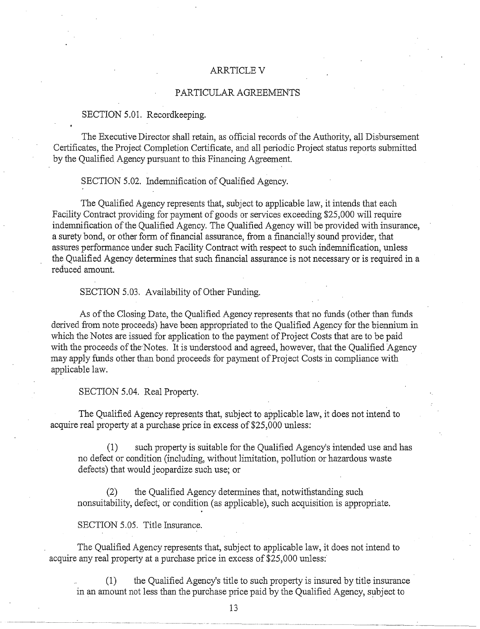## **ARRTICLE V**

## PARTICULAR AGREEMENTS

## SECTION 5.01. Recordkeeping.

The Executive Director shall retain, as official records of the Authority, all Disbursement Certificates, the Project Completion Certificate, and all periodic Project status reports submitted by the Qualified Agency pursuant to this Financing Agreement.

SECTION 5.02. Indemnification of Qualified Agency.

The Qualified Agency represents that, subject to applicable law, it intends that each Facility Contract providing for payment of goods or services exceeding \$25,000 will require indemnification of the Qualified Agency. The Qualified Agency will be provided with insurance, a surety bond, or other form of financial assurance, from a financially sound provider, that assures performance under such Facility Contract with respect to such indemnification, unless the Qualified Agency determines that such financial assurance is not necessary or is required in a reduced amount.

SECTION 5.03. Availability of Other Funding.

As of the Closing Date, the Qualified Agency represents that no funds (other than funds derived from note proceeds) have been appropriated to the Qualified Agency for the biennium in which the Notes are issued for application to the payment of Project Costs that are to be paid with the proceeds of the Notes. It is understood and agreed, however, that the Qualified Agency may apply funds other than bond proceeds for payment of Project Costs in compliance with applicable law.

SECTION 5.04. Real Property.

The Qualified Agency represents that, subject to applicable law, it does not intend to acquire real property at a purchase price in excess of \$25,000 unless:

(1) such property is suitable for the Qualified Agency's intended use and has no defect or condition (including, without limitation, pollution or hazardous waste defects) that would jeopardize such use; or

(2) the Qualified Agency detennines that, notwithstanding such nonsuitability, defect; or condition (as applicable), such acquisition is appropriate.

SECTION 5.05. Title Insurance.

The Qualified Agency represents that, subject to applicable law, it does not intend to acquire any real property at a purchase price in excess of \$25,000 unless:

(1) the Qualified Agency's title to such property is insured by title insurance in an amount not less than the purchase price paid by the Qualified Agency, subject to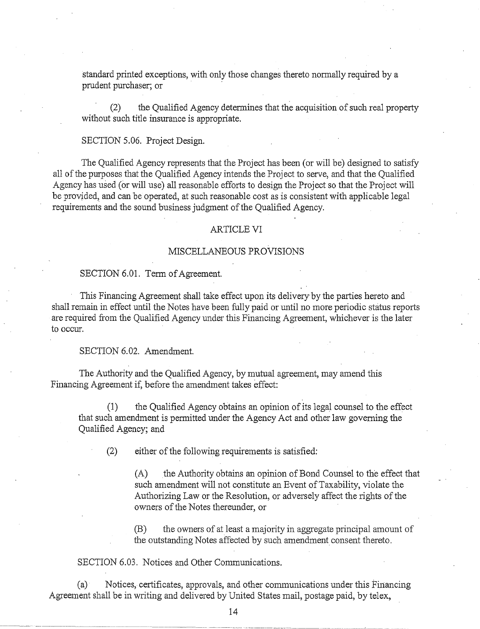standard printed exceptions, with only those changes thereto normally required by a prudent purchaser; or

(2) the Qualified Agency detennines that the acquisition of such real property without such title insurance is appropriate.

#### SECTION 5.06. Project Design.

The Qualified Agency represents that the Project has been (or will be) designed to satisfy all of the purposes that the Qualified Agency intends the Project to serve, and that the Qualified Agency has used (or will use) all reasonable efforts to design the Project so that the Project will be provided, and can be operated, at such reasonable cost as is consistent with applicable legal requirements and the sound business judgment of the Qualified Agency.

#### ARTICLE VI

## MISCELLANEOUS PROVISIONS

## SECTION 6.01. Term of Agreement.

This Financing Agreement shall take effect upon its delivery· by the parties hereto and shall remain in effect until the Notes have been fully paid or until no more periodic status reports are required from the Qualified Agency under this Financing Agreement, whichever is the later to occur.

SECTION 6.02. Amendment.

The Authority and the Qualified Agency, by mutual agreement, may amend this Financing Agreement if, before the amendment takes effect:

(1) the Qualified Agency obtains an opinion of its legal counsel to the effect that such amendment is pennitted under the Agency Act and other law governing the Qualified Agency; and

(2) either of the following requirements is satisfied:

(A) the Authority obtains an opinion of Bond Counsel to the effect that such amendment will not constitute an Event of Taxability, violate the Authorizing Law or the Resolution, or adversely affect the rights of the owners of the Notes thereunder, or

(B) the owners of at least a majority in aggregate principal amount of the outstanding Notes affected by such amendment consent thereto.

## SECTION 6.03. Notices and Other Communications.

(a) Notices, certificates, approvals, and other cmmnunications under this Financing Agreement shall be in writing and delivered by United States mail, postage paid, by telex,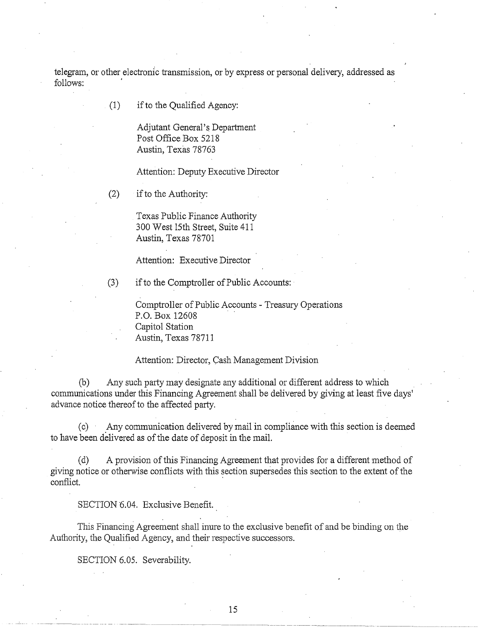telegram, or other electronic transmission, or by express or personal delivery, addressed as follows:

(1) if to the Qualified Agency:

Adjutant General's Department Post Office Box 5218 Austin, Texas 78763

Attention: Deputy Executive Director

(2) if to the Authority:

Texas Public Finance Authority 300 West 15th Street, Suite 411 Austin, Texas 78701

Attention: Executive Director

(3) if to the Comptroller of Public Accounts:

Comptroller of Public Accounts- Treasury Operations P.O. Box 12608 . Capitol Station Austin, Texas 78711

Attention: Director, Cash Management Division

(b) Any such party may designate any additional or different address to which communications under this Financing Agreement shall be delivered by giving at least five days' advance notice thereof to the affected party.

(c) Any cmmnunication delivered by mail in compliance with this section is deemed to have been delivered as of the date of deposit in the mail.

(d) A provision of this Financing Agreement that provides for a different method of giving notice or otherwise conflicts with this section supersedes this section to the extent of the conflict.

SECTION 6.04. Exclusive Benefit.

This Financing Agreement shall inure to the exclusive benefit of and be binding on the Authority, the Qualified Agency, and their respective successors.

SECTION 6.05. Severability.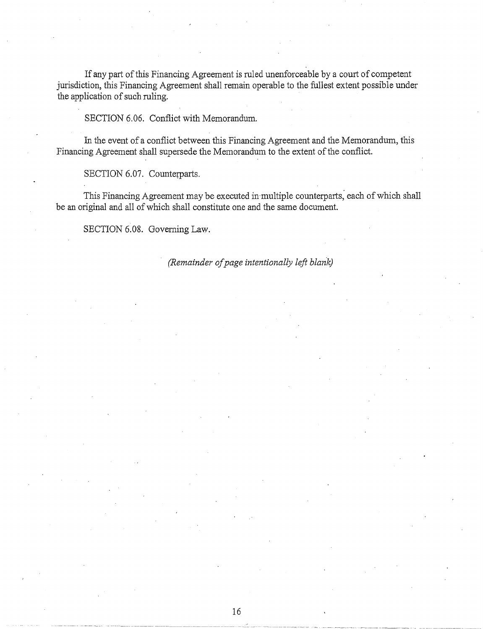If any part of this Financing Agreement is ruled unenforceable by a court of competent jurisdiction, this Financing Agreement shall remain operable to the fullest extent possible under the application of such ruling.

SECTION 6.06. Conflict with Memorandum.

In the event of a conflict between this Financing Agreement and the Memorandum, this Financing Agreement shall supersede the Memorandum to the extent of the conflict.

SECTION 6.07. Counterparts.

This Financing Agreement may be executed in·multiple counterparts; each of which shall be an original and all of which shall constitute one and the same document.

SECTION 6.08. Governing Law.

# *(Remainder of page intentionally left blank)*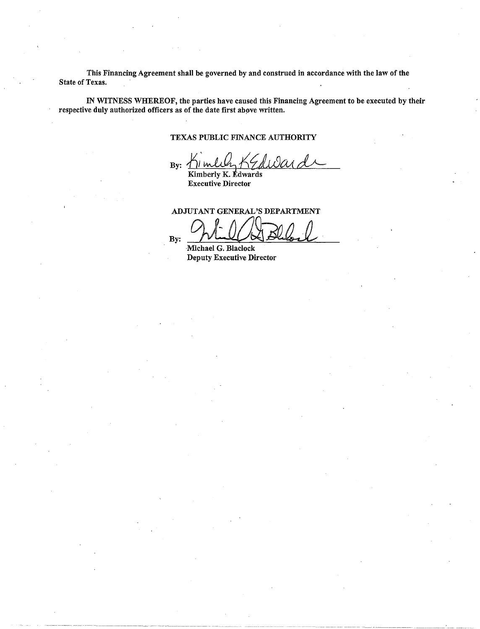This Financing Agreement shall be governed by and construed in accordance with the law of the State of Texas.

IN WITNESS WHEREOF, the parties have caused this Financing Agreement to be executed by their respective duly authorized officers as of the date first above written.

## TEXAS PUBLIC FINANCE AUTHORITY

By:  $\bigwedge$ 

Kimberly K. Edwards Executive Director

ADJUTANT GENERAL'S DEPARTMENT

 $By: \mathcal{D}\longrightarrow\mathcal{D}$  Michael G. Blaclock

Deputy Executive Director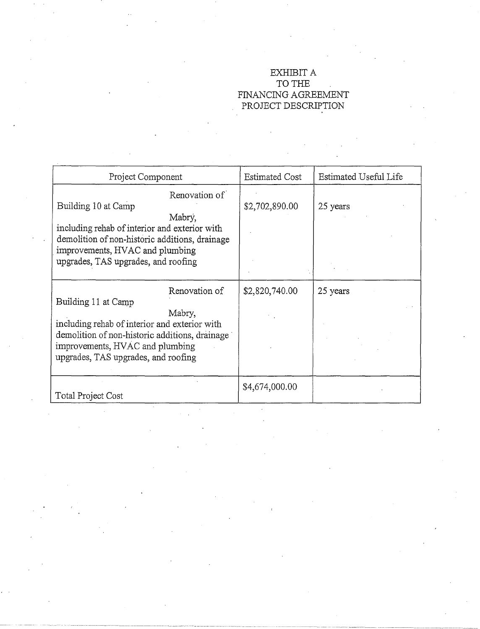# EXHIBIT A TO THE FINANCING AGREEMENT PROJECT DESCRIPTION

| Project Component                                                                                                                                                                                                           | <b>Estimated Cost</b> | Estimated Useful Life |
|-----------------------------------------------------------------------------------------------------------------------------------------------------------------------------------------------------------------------------|-----------------------|-----------------------|
| Renovation of<br>Building 10 at Camp<br>Mabry,<br>including rehab of interior and exterior with<br>demolition of non-historic additions, drainage<br>improvements, HVAC and plumbing<br>upgrades, TAS upgrades, and roofing | \$2,702,890.00        | 25 years              |
| Renovation of<br>Building 11 at Camp<br>Mabry,<br>including rehab of interior and exterior with<br>demolition of non-historic additions, drainage<br>improvements, HVAC and plumbing<br>upgrades, TAS upgrades, and roofing | \$2,820,740.00        | 25 years              |
| Total Project Cost                                                                                                                                                                                                          | \$4,674,000.00        |                       |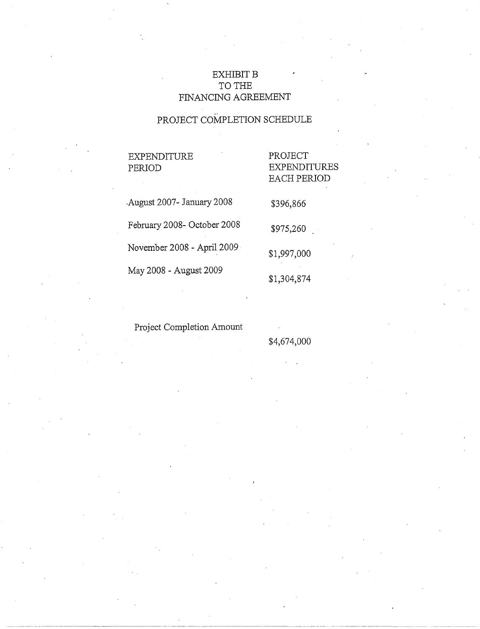# **EXHIBIT B** TO THE FINANCING AGREEMENT

# PROJECT COMPLETION SCHEDULE

# EXPENDITURE PERIOD

# PROJECT EXPENDITURES EACH PERIOD

\$396,866

\$975,260

\$1,997,000

\$1,304,874

.August 2007- January 2008 February 2008- October 2008 November 2008 - April 2009 May 2008 - August 2009

# Project Completion Amount

# \$4,674,000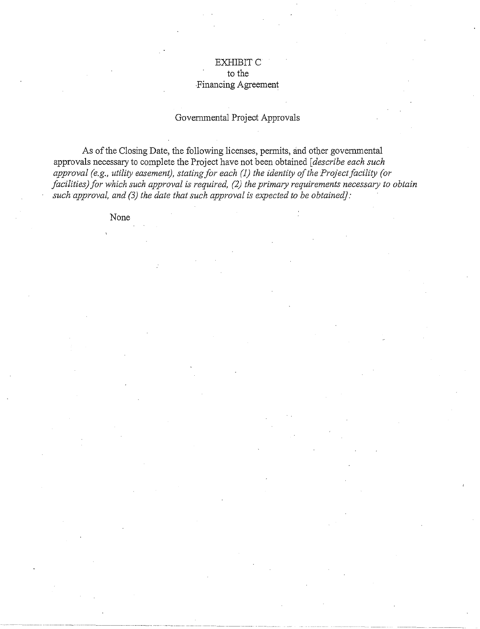# EXHIBIT<sub>C</sub> to the ·Financing Agreement

# Govenunental Project Approvals

As of the Closing Date, the following licenses, permits, and other governmental approvals necessary to complete the Project have not been obtained *[describe each such approval (e.g., utility easement), stating for each (1) the identity of the Project facility (or facilities) for which such approval is required, (2) the primary requirements necessary to obtain* such approval, and (3) the date that such approval is expected to be obtained]:

None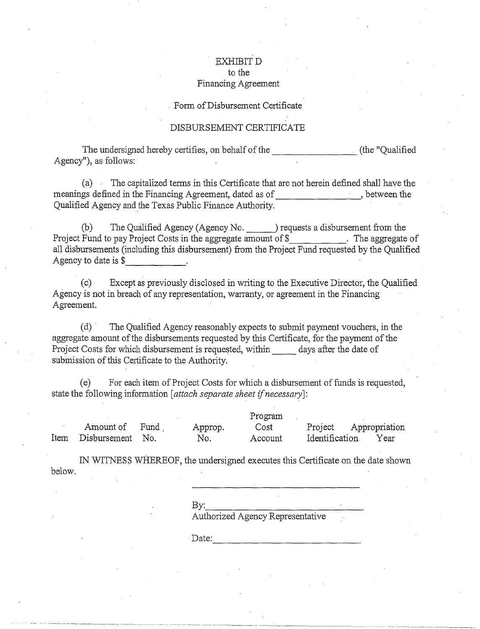## EXHIBITD to the Financing Agreement

#### . Form of Disbursement Certificate

## DISBURSEMENT CERTIFICATE

The undersigned hereby certifies, on behalf of the  $\overline{\phantom{a}}$  (the "Qualified Agency"), as follows:

(a) The capitalized terms in this Certificate that are not herein defined shall have the meanings defined in the Financing Agreement, dated as of , between the Qualified Agency and the Texas Public Finance Authority.

(b) The Qualified Agency (Agency No. ) requests a disbursement from the Project Fund to pay Project Costs in the aggregate amount of \$\_\_\_\_\_\_\_\_\_\_\_\_. The aggregate of all disbursements (including this disbursement) from the Project Fund requested by the Qualified Agency to date is \$

(c) Except as previously disclosed in writing to the Executive Director, the Qualified Agency is not in breach of any representation, warranty, or agreement in the Financing Agreement.

(d) · The Qualified Agency reasonably expects to submit payment vouchers, in the aggregate amount of the disbursements requested by this Certificate, for the payment of the Project Costs for which disbursement is requested, within days after the date of submission of this Certificate to the Authority.

(e) For each item ofProject Costs for which a disbursement of funds is requested, state the following information *[attach separate sheet if necessary*]:

Amount of Fund , Item Disbursement No. Approp. No. Program Cost Account Project Appropriation Identification Year

IN WITNESS WHEREOF, the undersigned executes this Certificate on the date shown below.

By: \_\_\_\_\_\_\_\_\_\_\_\_ \_ Authorized Agency Representative

~---~~~~~

~--~---~- --- \_\_ , \_\_\_\_ -------------·--·-

Date: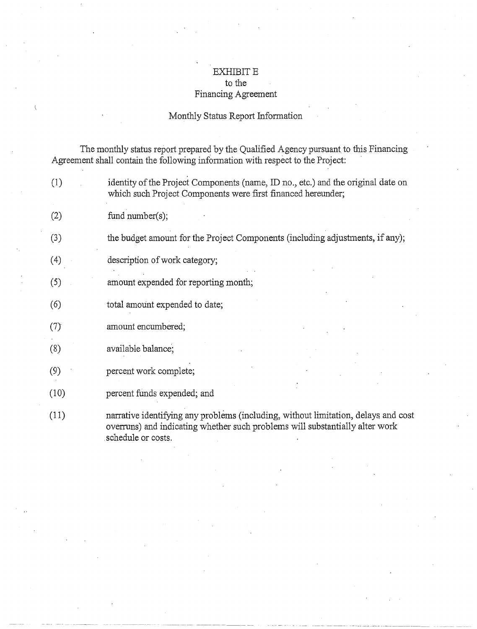# EXHIBIT  $\rm E$ to the Financing Agreement

# Monthly Status Report Information

The monthly status report prepared by the Qualified Agency pursuant to this Financing Agreement shall contain the following information with respect to the Project:

| (1)  | identity of the Project Components (name, ID no., etc.) and the original date on<br>which such Project Components were first financed hereunder;                                         |
|------|------------------------------------------------------------------------------------------------------------------------------------------------------------------------------------------|
| (2)  | fund number( $s$ );                                                                                                                                                                      |
| (3)  | the budget amount for the Project Components (including adjustments, if any);                                                                                                            |
| (4)  | description of work category;                                                                                                                                                            |
| (5)  | amount expended for reporting month;                                                                                                                                                     |
| (6)  | total amount expended to date;                                                                                                                                                           |
| (7)  | amount encumbered;                                                                                                                                                                       |
| (8)  | available balance;                                                                                                                                                                       |
| (9)  | percent work complete;                                                                                                                                                                   |
| (10) | percent funds expended; and                                                                                                                                                              |
| (11) | narrative identifying any problems (including, without limitation, delays and cost<br>overruns) and indicating whether such problems will substantially alter work<br>schedule or costs. |